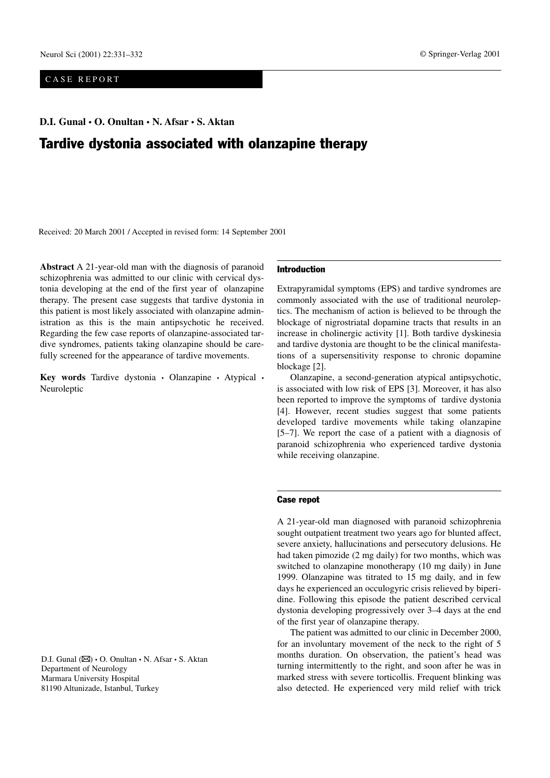## CASE REPORT

**D.I. Gunal • O. Onultan • N. Afsar • S. Aktan**

# Tardive dystonia associated with olanzapine therapy

Received: 20 March 2001 / Accepted in revised form: 14 September 2001

**Abstract** A 21-year-old man with the diagnosis of paranoid schizophrenia was admitted to our clinic with cervical dystonia developing at the end of the first year of olanzapine therapy. The present case suggests that tardive dystonia in this patient is most likely associated with olanzapine administration as this is the main antipsychotic he received. Regarding the few case reports of olanzapine-associated tardive syndromes, patients taking olanzapine should be carefully screened for the appearance of tardive movements.

**Key words** Tardive dystonia • Olanzapine • Atypical • Neuroleptic

D.I. Gunal ( $\boxtimes$ ) • O. Onultan • N. Afsar • S. Aktan Department of Neurology Marmara University Hospital 81190 Altunizade, Istanbul, Turkey

#### Introduction

Extrapyramidal symptoms (EPS) and tardive syndromes are commonly associated with the use of traditional neuroleptics. The mechanism of action is believed to be through the blockage of nigrostriatal dopamine tracts that results in an increase in cholinergic activity [1]. Both tardive dyskinesia and tardive dystonia are thought to be the clinical manifestations of a supersensitivity response to chronic dopamine blockage [2].

Olanzapine, a second-generation atypical antipsychotic, is associated with low risk of EPS [3]. Moreover, it has also been reported to improve the symptoms of tardive dystonia [4]. However, recent studies suggest that some patients developed tardive movements while taking olanzapine [5–7]. We report the case of a patient with a diagnosis of paranoid schizophrenia who experienced tardive dystonia while receiving olanzapine.

### Case repot

A 21-year-old man diagnosed with paranoid schizophrenia sought outpatient treatment two years ago for blunted affect, severe anxiety, hallucinations and persecutory delusions. He had taken pimozide (2 mg daily) for two months, which was switched to olanzapine monotherapy (10 mg daily) in June 1999. Olanzapine was titrated to 15 mg daily, and in few days he experienced an occulogyric crisis relieved by biperidine. Following this episode the patient described cervical dystonia developing progressively over 3–4 days at the end of the first year of olanzapine therapy.

The patient was admitted to our clinic in December 2000, for an involuntary movement of the neck to the right of 5 months duration. On observation, the patient's head was turning intermittently to the right, and soon after he was in marked stress with severe torticollis. Frequent blinking was also detected. He experienced very mild relief with trick